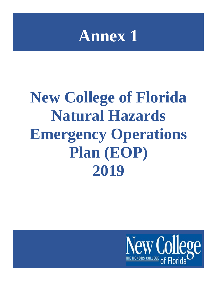

# **New College of Florida Natural Hazards Emergency Operations Plan (EOP) 2019**

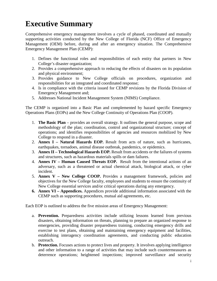## **Executive Summary**

Comprehensive emergency management involves a cycle of phased, coordinated and mutually supporting activities conducted by the New College of Florida (NCF) Office of Emergency Management (OEM) before, during and after an emergency situation. The Comprehensive Emergency Management Plan (CEMP):

- 1. Defines the functional roles and responsibilities of each entity that partners in New College's disaster organization;
- 2. Provides a comprehensive approach to reducing the effects of disasters on its population and physical environment;
- 3. Provides guidance to New College officials on procedures, organization and responsibilities for an integrated and coordinated response;
- 4. Is in compliance with the criteria issued for CEMP revisions by the Florida Division of Emergency Management and;
- 5. Addresses National Incident Management System (NIMS) Compliance.

The CEMP is organized into a Basic Plan and complemented by hazard specific Emergency Operations Plans (EOPs) and the New College Continuity of Operations Plan (COOP).

- 1. **The Basic Plan**  provides an overall strategy. It outlines the general purpose, scope and methodology of the plan; coordination, control and organizational structure; concept of operations; and identifies responsibilities of agencies and resources mobilized by New College to respond in a disaster.
- 2. **Annex I – Natural Hazards EOP.** Result from acts of nature, such as hurricanes, earthquakes, tornadoes, animal disease outbreak, pandemics, or epidemics.
- 3. **Annex II – Technological Hazards EOP.** Result from accidents or the failures of systems and structures, such as hazardous materials spills or dam failures.
- 4. **Annex IV – Human Caused Threats EOP.** Result from the intentional actions of an adversary, such as a threatened or actual chemical attack, biological attack, or cyber incident.
- 5. **Annex V – New College COOP.** Provides a management framework, policies and objectives for the New College faculty, employees and students to ensure the continuity of New College essential services and/or critical operations during any emergency.
- **6. Annex VI – Appendices.** Appendices provide additional information associated with the CEMP such as supporting procedures, mutual aid agreements, etc.

Each EOP is outlined to address the five mission areas of Emergency Management:

- a. **Prevention.** Preparedness activities include utilizing lessons learned from previous disasters, obtaining information on threats, planning to prepare an organized response to emergencies, providing disaster preparedness training, conducting emergency drills and exercise to test plans, obtaining and maintaining emergency equipment and facilities, establishing interagency coordination agreements, and conducting public education outreach.
- b. **Protection.** Focuses actions to protect lives and property. It involves applying intelligence and other information to a range of activities that may include such countermeasures as deterrence operations; heightened inspections; improved surveillance and security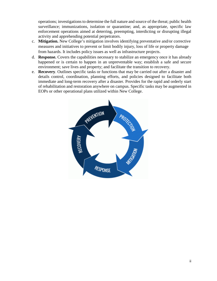operations; investigations to determine the full nature and source of the threat; public health surveillance; immunizations, isolation or quarantine; and, as appropriate, specific law enforcement operations aimed at deterring, preempting, interdicting or disrupting illegal activity and apprehending potential perpetrators.

- c. **Mitigation.** New College's mitigation involves identifying preventative and/or corrective measures and initiatives to prevent or limit bodily injury, loss of life or property damage from hazards. It includes policy issues as well as infrastructure projects.
- d. **Response.** Covers the capabilities necessary to stabilize an emergency once it has already happened or is certain to happen in an unpreventable way; establish a safe and secure environment; save lives and property; and facilitate the transition to recovery.
- e. **Recovery**. Outlines specific tasks or functions that may be carried out after a disaster and details control, coordination, planning efforts, and policies designed to facilitate both immediate and long-term recovery after a disaster. Provides for the rapid and orderly start of rehabilitation and restoration anywhere on campus. Specific tasks may be augmented in EOPs or other operational plans utilized within New College.

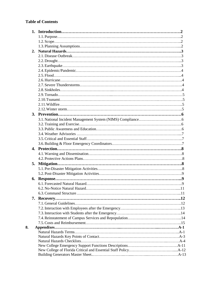#### **Table of Contents**

|    | 2. |  |
|----|----|--|
|    |    |  |
|    |    |  |
|    |    |  |
|    |    |  |
|    |    |  |
|    |    |  |
|    |    |  |
|    |    |  |
|    |    |  |
|    |    |  |
|    |    |  |
|    |    |  |
|    |    |  |
|    |    |  |
|    |    |  |
|    |    |  |
|    |    |  |
|    |    |  |
|    |    |  |
|    |    |  |
|    |    |  |
|    |    |  |
|    | 5. |  |
|    |    |  |
|    |    |  |
|    | 6. |  |
|    |    |  |
|    |    |  |
|    |    |  |
|    |    |  |
|    |    |  |
|    |    |  |
|    |    |  |
|    |    |  |
|    |    |  |
| 8. |    |  |
|    |    |  |
|    |    |  |
|    |    |  |
|    |    |  |
|    |    |  |
|    |    |  |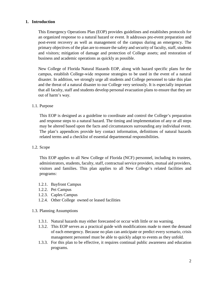#### **1. Introduction**

This Emergency Operations Plan (EOP) provides guidelines and establishes protocols for an organized response to a natural hazard or event. It addresses pre‐event preparation and post‐event recovery as well as management of the campus during an emergency. The primary objectives of the plan are to ensure the safety and security of faculty, staff, students and visitors; mitigation of damage and protection of College assets; and restoration of business and academic operations as quickly as possible.

New College of Florida Natural Hazards EOP, along with hazard specific plans for the campus, establish College‐wide response strategies to be used in the event of a natural disaster. In addition, we strongly urge all students and College personnel to take this plan and the threat of a natural disaster to our College very seriously. It is especially important that all faculty, staff and students develop personal evacuation plans to ensure that they are out of harm's way.

#### 1.1. Purpose

This EOP is designed as a guideline to coordinate and control the College's preparation and response steps to a natural hazard. The timing and implementation of any or all steps may be altered based upon the facts and circumstances surrounding any individual event. The plan's appendices provide key contact information, definitions of natural hazards related terms and a checklist of essential departmental responsibilities.

#### 1.2. Scope

This EOP applies to all New College of Florida (NCF) personnel, including its trustees, administrators, students, faculty, staff, contractual service providers, mutual aid providers, visitors and families. This plan applies to all New College's related facilities and programs:

- 1.2.1. Bayfront Campus
- 1.2.2. Pei Campus
- 1.2.3. Caples Campus
- 1.2.4. Other College owned or leased facilities

#### 1.3. Planning Assumptions

- 1.3.1. Natural hazards may either forecasted or occur with little or no warning.
- 1.3.2. This EOP serves as a practical guide with modifications made to meet the demand of each emergency. Because no plan can anticipate or predict every scenario, crisis management personnel must be able to quickly adapt to events as they unfold.
- 1.3.3. For this plan to be effective, it requires continual public awareness and education programs.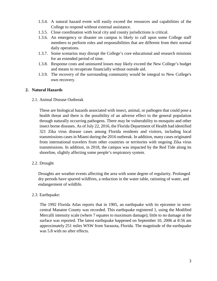- 1.3.4. A natural hazard event will easily exceed the resources and capabilities of the College to respond without external assistance.
- 1.3.5. Close coordination with local city and county jurisdictions is critical.
- 1.3.6. An emergency or disaster on campus is likely to call upon some College staff members to perform roles and responsibilities that are different from their normal daily operations.
- 1.3.7. Some scenarios may disrupt the College's core educational and research missions for an extended period of time.
- 1.3.8. Response costs and uninsured losses may likely exceed the New College's budget and means to recuperate financially without outside aid.
- 1.3.9. The recovery of the surrounding community would be integral to New College's own recovery.

#### **2. Natural Hazards**

2.1. Animal Disease Outbreak

These are biological hazards associated with insect, animal, or pathogen that could pose a health threat and there is the possibility of an adverse effect to the general population through naturally occurring pathogens. There may be vulnerability to mosquito and other insect borne diseases. As of July 22, 2016, the Florida Department of Health had identified 321 Zika virus disease cases among Florida residents and visitors, including local transmissions cases in Miami during the 2016 outbreak. In addition, many cases originated from international travelers from other countries or territories with ongoing Zika virus transmissions. In addition, in 2018, the campus was impacted by the Red Tide along its shoreline, slightly affecting some people's respiratory system.

2.2. Drought

Droughts are weather events affecting the area with some degree of regularity. Prolonged dry periods have spurred wildfires, a reduction in the water table, rationing of water, and endangerment of wildlife.

#### 2.3. Earthquake:

The 1992 Florida Atlas reports that in 1905, an earthquake with its epicenter in westcentral Manatee County was recorded. This earthquake registered 1, using the Modified Mercalli intensity scale (where 7 equates to maximum damage); little to no damage at the surface was reported. The latest earthquake happened on September 10, 2006 at 8:56 am approximately 251 miles WSW from Sarasota, Florida. The magnitude of the earthquake was 5.8 with no after effects.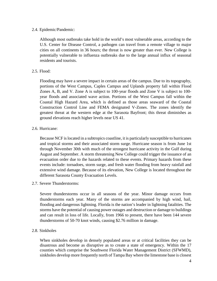#### 2.4. Epidemic/Pandemic:

Although most outbreaks take hold in the world's most vulnerable areas, according to the U.S. Center for Disease Control, a pathogen can travel from a remote village to major cities on all continents in 36 hours; the threat is now greater than ever. New College is potentially vulnerable to influenza outbreaks due to the large annual influx of seasonal residents and tourists.

#### $2.5.$  Flood:

Flooding may have a severe impact in certain areas of the campus. Due to its topography, portions of the West Campus, Caples Campus and Uplands property fall within Flood Zones A, B, and V. Zone A is subject to 100-year floods and Zone V is subject to 100 year floods and associated wave action. Portions of the West Campus fall within the Coastal High Hazard Area, which is defined as those areas seaward of the Coastal Construction Control Line and FEMA designated V-Zones. The zones identify the greatest threat at the western edge at the Sarasota Bayfront; this threat diminishes as ground elevations reach higher levels near US 41.

#### 2.6. Hurricane:

Because NCF is located in a subtropics coastline, it is particularly susceptible to hurricanes and tropical storms and their associated storm surge. Hurricane season is from June 1st through November 30th with much of the strongest hurricane activity in the Gulf during August and September. A storm threatening New College could trigger the issuance of an evacuation order due to the hazards related to these events. Primary hazards from these events include: tornadoes, storm surge, and fresh water flooding from heavy rainfall and extensive wind damage. Because of its elevation, New College is located throughout the different Sarasota County Evacuation Levels.

2.7. Severe Thunderstorms:

Severe thunderstorms occur in all seasons of the year. Minor damage occurs from thunderstorms each year. Many of the storms are accompanied by high wind, hail, flooding and dangerous lightning. Florida is the nation's leader in lightning fatalities. The storms have the potential of causing power outages and destruction or damage to buildings and can result in loss of life. Locally, from 1966 to present, there have been 144 severe thunderstorms of 50-70 knot winds, causing \$2.76 million in damage.

#### 2.8. Sinkholes

When sinkholes develop in densely populated areas or at critical facilities they can be disastrous and become as disruptive as to create a state of emergency. Within the 17 counties which comprise the Southwest Florida Water Management District (SFWMD), sinkholes develop more frequently north of Tampa Bay where the limestone base is closest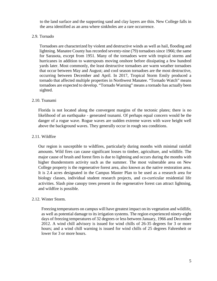to the land surface and the supporting sand and clay layers are thin. New College falls in the area identified as an area where sinkholes are a rare occurrence.

#### 2.9. Tornado

Tornadoes are characterized by violent and destructive winds as well as hail, flooding and lightning. Manatee County has recorded seventy-nine (79) tornadoes since 1966; the same for Sarasota, except from 1951. Many of the tornadoes were with tropical storms and hurricanes in addition to waterspouts moving onshore before dissipating a few hundred yards later. Most commonly, the least destructive tornadoes are warm weather tornadoes that occur between May and August; and cool season tornadoes are the most destructive, occurring between December and April. In 2017, Tropical Storm Emily produced a tornado that affected multiple properties in Northwest Manatee. "Tornado Watch" means tornadoes are expected to develop. "Tornado Warning" means a tornado has actually been sighted.

#### 2.10. Tsunami

Florida is not located along the convergent margins of the tectonic plates; there is no likelihood of an earthquake - generated tsunami. Of perhaps equal concern would be the danger of a rogue wave. Rogue waves are sudden extreme waves with wave height well above the background waves. They generally occur in rough sea conditions.

#### 2.11. Wildfire

Our region is susceptible to wildfires, particularly during months with minimal rainfall amounts. Wild fires can cause significant losses to timber, agriculture, and wildlife. The major cause of brush and forest fires is due to lightning and occurs during the months with higher thunderstorm activity such as the summer. The most vulnerable area on New College property is the regenerative forest area, also known as the native restoration area. It is 2.4 acres designated in the Campus Master Plan to be used as a research area for biology classes, individual student research projects, and co-curricular residential life activities. Slash pine canopy trees present in the regenerative forest can attract lightning, and wildfire is possible.

#### 2.12. Winter Storm.

Freezing temperatures on campus will have greatest impact on its vegetation and wildlife, as well as potential damage to its irrigation systems. The region experienced ninety-eight days of freezing temperatures of 32 degrees or less between January, 1966 and December 2012. A wind chill advisory is issued for wind chills of 26-35 degrees for 3 or more hours; and a wind chill warning is issued for wind chills of 25 degrees Fahrenheit or lower for 3 or more hours.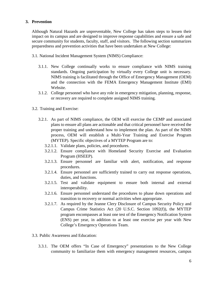#### **3. Prevention**

Although Natural Hazards are unpreventable, New College has taken steps to lessen their impact on its campus and are designed to improve response capabilities and ensure a safe and secure community for students, faculty, staff, and visitors. The following section summarizes preparedness and prevention activities that have been undertaken at New College:

- 3.1. National Incident Management System (NIMS) Compliance:
	- 3.1.1. New College continually works to ensure compliance with NIMS training standards. Ongoing participation by virtually every College unit is necessary. NIMS training is facilitated through the Office of Emergency Management (OEM) and the connection with the FEMA Emergency Management Institute (EMI) Website.
	- 3.1.2. College personnel who have any role in emergency mitigation, planning, response, or recovery are required to complete assigned NIMS training.
- 3.2. Training and Exercise:
	- 3.2.1. As part of NIMS compliance, the OEM will exercise the CEMP and associated plans to ensure all plans are actionable and that critical personnel have received the proper training and understand how to implement the plan. As part of the NIMS process, OEM will establish a Multi-Year Training and Exercise Program (MYTEP). Specific objectives of a MYTEP Program are to:
		- 3.2.1.1. Validate plans, policies, and procedures.
		- 3.2.1.2. Ensure compliance with Homeland Security Exercise and Evaluation Program (HSEEP).
		- 3.2.1.3. Ensure personnel are familiar with alert, notification, and response procedures.
		- 3.2.1.4. Ensure personnel are sufficiently trained to carry out response operations, duties, and functions.
		- 3.2.1.5. Test and validate equipment to ensure both internal and external interoperability.
		- 3.2.1.6. Ensure personnel understand the procedures to phase down operations and transition to recovery or normal activities when appropriate.
		- 3.2.1.7. As required by the Jeanne Clery Disclosure of Campus Security Policy and Campus Crime Statistics Act (20 U.S.C. Section 1092(f)), the MYTEP program encompasses at least one test of the Emergency Notification System (ENS) per year, in addition to at least one exercise per year with New College's Emergency Operations Team.
- 3.3. Public Awareness and Education:
	- 3.3.1. The OEM offers "In Case of Emergency" presentations to the New College community to familiarize them with emergency management resources, campus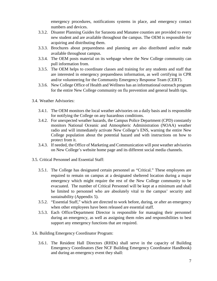emergency procedures, notifications systems in place, and emergency contact numbers and devices.

- 3.3.2. Disaster Planning Guides for Sarasota and Manatee counties are provided to every new student and are available throughout the campus. The OEM is responsible for acquiring and distributing them.
- 3.3.3. Brochures about preparedness and planning are also distributed and/or made available throughout campus.
- 3.3.4. The OEM posts material on its webpage where the New College community can pull information from.
- 3.3.5. The OEM helps to coordinate classes and training for any students and staff that are interested in emergency preparedness information, as well certifying in CPR and/or volunteering for the Community Emergency Response Team (CERT).
- 3.3.6. New College Office of Health and Wellness has an informational outreach program for the entire New College community on flu prevention and general health tips.
- 3.4. Weather Advisories:
	- 3.4.1. The OEM monitors the local weather advisories on a daily basis and is responsible for notifying the College on any hazardous conditions.
	- 3.4.2. For unexpected weather hazards, the Campus Police Department (CPD) constantly monitors National Oceanic and Atmospheric Administration (NOAA) weather radio and will immediately activate New College's ENS, warning the entire New College population about the potential hazard and with instructions on how to protect from it.
	- 3.4.3. If needed, the Office of Marketing and Communication will post weather advisories on New College's website home page and its different social media channels.
- 3.5. Critical Personnel and Essential Staff:
	- 3.5.1. The College has designated certain personnel as "Critical." These employees are required to remain on campus at a designated sheltered location during a major emergency which might require the rest of the New College community to be evacuated. The number of Critical Personnel will be kept at a minimum and shall be limited to personnel who are absolutely vital to the campus' security and sustainability (Appendix 5).
	- 3.5.2. "Essential Staff," which are directed to work before, during, or after an emergency when other employees have been released are essential staff.
	- 3.5.3. Each Office/Department Director is responsible for managing their personnel during an emergency, as well as assigning them roles and responsibilities to best support any emergency functions that are required.
- 3.6. Building Emergency Coordinator Program:
	- 3.6.1. The Resident Hall Directors (RHDs) shall serve in the capacity of Building Emergency Coordinators (See NCF Building Emergency Coordinator Handbook) and during an emergency event they shall: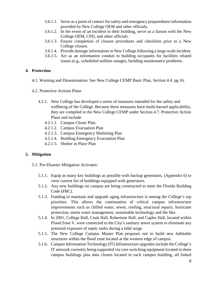- 3.6.1.1. Serve as a point of contact for safety and emergency preparedness information provided by New College OEM and other officials.
- 3.6.1.2. In the event of an incident in their building, serve as a liaison with the New College OEM, CPD, and other officials.
- 3.6.1.3. Ensure completion of closure procedures and checklists prior to a New College closure.
- 3.6.1.4. Provide damage information to New College following a large-scale incident.
- 3.6.1.5. Act as an information conduit to building occupants for facilities related issues (e.g., scheduled utilities outages, building maintenance problems.

#### **4. Protection**

- 4.1. Warning and Dissemination: See New College CEMP Basic Plan, Section 4.4. pg 16.
- 4.2. Protective Actions Plans
	- 4.2.1. New College has developed a series of measures intended for the safety and wellbeing of the College. Because these measures have multi-hazard applicability, they are compiled in the New College CEMP under Section 4.7. Protective Action Plans and include:
		- 4.2.1.1. Campus Closer Plan.
		- 4.2.1.2. Campus Evacuation Plan
		- 4.2.1.3. Campus Emergency Sheltering Plan
		- 4.2.1.4. Building Emergency Evacuation Plan
		- 4.2.1.5. Shelter in Place Plan

#### **5. Mitigation**

- 5.1. Pre-Disaster Mitigation Activates:
	- 5.1.1. Equip as many key buildings as possible with backup generators. (Appendix 6) to view current list of buildings equipped with generators.
	- 5.1.2. Any new buildings on campus are being constructed to meet the Florida Building Code (FBC).
	- 5.1.3. Funding to maintain and upgrade aging infrastructure is among the College's top priorities. This allows the continuation of critical campus infrastructure improvements such as chilled water, sewer, roofing, structural repairs, hurricane protection, storm water management, sustainable technology and the like.
	- 5.1.4. In 2001, College Hall, Cook Hall, Robertson Hall, and Caples Hall, located within Flood Zone V, were connected to the City's sanitary sewer system to eliminate any potential exposure of septic tanks during a tidal surge.
	- 5.1.5. The New College Campus Master Plan proposes not to build new habitable structures within the flood zone located at the western edge of campus.
	- 5.1.6. Campus Information Technology (IT) Infrastructure upgrades include the College's IT network currently being supported via core switching equipment located in three campus buildings plus data closets located in each campus building, all linked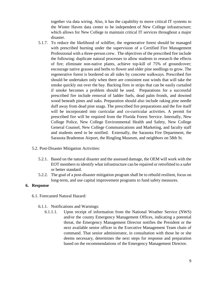together via data wiring. Also, it has the capability to move critical IT systems to the Winter Haven data center to be independent of New College infrastructure; which allows for New College to maintain critical IT services throughout a major disaster.

- 5.1.7. To reduce the likelihood of wildfire, the regenerative forest should be managed with prescribed burning under the supervision of a Certified Fire Management Professional with a three-person crew. The objectives of the prescribed fire include the following: duplicate natural processes to allow students to research the effects of fire; eliminate non-native plants, achieve top-kill of 75% of groundcover; encourage native grasses and herbs to flower and older pine seedlings to grow. The regenerative forest is bordered on all sides by concrete walkways. Prescribed fire should be undertaken only when there are consistent east winds that will take the smoke quickly out over the bay. Backing fires in strips that can be easily curtailed if smoke becomes a problem should be used. Preparations for a successful prescribed fire include removal of ladder fuels, dead palm fronds, and downed wood beneath pines and oaks. Preparation should also include raking pine needle duff away from dead pine snags. The prescribed fire preparations and the fire itself will be incorporated into curricular and co-curricular activities. A permit for prescribed fire will be required from the Florida Forest Service. Internally, New College Police, New College Environmental Health and Safety, New College General Counsel, New College Communications and Marketing, and faculty staff and students need to be notified. Externally, the Sarasota Fire Department, the Sarasota Bradenton Airport, the Ringling Museum, and neighbors on 58th St.
- 5.2. Post-Disaster Mitigation Activities:
	- 5.2.1. Based on the natural disaster and the assessed damage, the OEM will work with the EOT members to identify what infrastructure can be repaired or retrofitted to a safer or better standard.
	- 5.2.2. The goal of a post-disaster mitigation program shall be to rebuild resilient, focus on long-term, and use capital improvement programs to fund safety measures.

#### **6. Response**

- 6.1. Forecasted Natural Hazard:
	- 6.1.1. Notifications and Warnings:
		- 6.1.1.1. Upon receipt of information from the National Weather Service (NWS) and/or the county Emergency Management Offices, indicating a potential threat, the Emergency Management Director notifies the President or the next available senior officer in the Executive Management Team chain of command. That senior administrator, in consultation with those he or she deems necessary, determines the next steps for response and preparation based on the recommendations of the Emergency Management Director.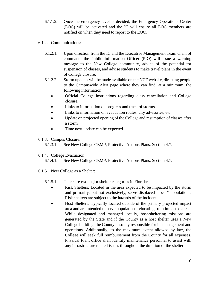- 6.1.1.2. Once the emergency level is decided, the Emergency Operations Center (EOC) will be activated and the IC will ensure all EOC members are notified on when they need to report to the EOC.
- 6.1.2. Communications:
	- 6.1.2.1. Upon direction from the IC and the Executive Management Team chain of command, the Public Information Officer (PIO) will issue a warning message to the New College community, advice of the potential for suspension of classes, and advise students to make travel plans in the event of College closure.
	- 6.1.2.2. Storm updates will be made available on the NCF website, directing people to the Campuswide Alert page where they can find, at a minimum, the following information:
		- Official College instructions regarding class cancellation and College closure.
		- Links to information on progress and track of storms.
		- Links to information on evacuation routes, city advisories, etc.
		- Update on projected opening of the College and resumption of classes after a storm.
		- Time next update can be expected.
- 6.1.3. Campus Closure:
	- 6.1.3.1. See New College CEMP, Protective Actions Plans, Section 4.7.
- 6.1.4. College Evacuation:
	- 6.1.4.1. See New College CEMP, Protective Actions Plans, Section 4.7.
- 6.1.5. New College as a Shelter:
	- 6.1.5.1. There are two major shelter categories in Florida:
		- Risk Shelters: Located in the area expected to be impacted by the storm and primarily, but not exclusively, serve displaced "local" populations. Risk shelters are subject to the hazards of the incident.
		- Host Shelters: Typically located outside of the primary projected impact area and are intended to serve populations relocating from impacted areas. While designated and managed locally, host-sheltering missions are generated by the State and if the County as a host shelter uses a New College building, the County is solely responsible for its management and operations. Additionally, to the maximum extent allowed by law, the College will seek full reimbursement from the County for all expenses. Physical Plant office shall identify maintenance personnel to assist with any infrastructure related issues throughout the duration of the shelter.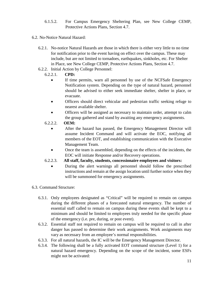- 6.1.5.2. For Campus Emergency Sheltering Plan, see New College CEMP, Protective Actions Plans, Section 4.7.
- 6.2. No-Notice Natural Hazard:
	- 6.2.1. No-notice Natural Hazards are those in which there is either very little to no time for notification prior to the event having on effect over the campus. These may include, but are not limited to tornadoes, earthquakes, sinkholes, etc. For Shelter in Place, see New College CEMP, Protective Actions Plans, Section 4.7.
	- 6.2.2. Initial Action by College Personnel:
		- 6.2.2.1. **CPD:**
			- If time permits, warn all personnel by use of the NCFSafe Emergency Notification system. Depending on the type of natural hazard, personnel should be advised to either seek immediate shelter, shelter in place, or evacuate.
			- Officers should direct vehicular and pedestrian traffic seeking refuge to nearest available shelter.
			- Officers will be assigned as necessary to maintain order, attempt to calm the group gathered and stand by awaiting any emergency assignments.
		- 6.2.2.2. **OEM:**
			- After the hazard has passed, the Emergency Management Director will assume Incident Command and will activate the EOC, notifying all members of the EOT, and establishing communication with the Executive Management Team.
			- Once the team is assembled, depending on the effects of the incidents, the EOC will initiate Response and/or Recovery operations.
		- 6.2.2.3. **All staff, faculty, students, concessionaire employees and visitors:**
			- During the alert warnings all personnel should follow the prescribed instructions and remain at the assign location until further notice when they will be summoned for emergency assignments.
- 6.3. Command Structure:
	- 6.3.1. Only employees designated as "Critical" will be required to remain on campus during the different phases of a forecasted natural emergency. The number of essential staff called to remain on campus during these events shall be kept to a minimum and should be limited to employees truly needed for the specific phase of the emergency (i.e. pre, during, or post event).
	- 6.3.2. Essential staff not required to remain on campus will be required to call in after danger has passed to determine their work assignments. Work assignments may vary as necessary from an employee's normal responsibilities.
	- 6.3.3. For all natural hazards, the IC will be the Emergency Management Director.
	- 6.3.4. The following shall be a fully activated EOT command structure (Level 1) for a natural hazard emergency. Depending on the scope of the incident, some ESFs might not be activated: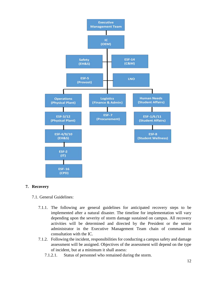

#### **7. Recovery**

- 7.1. General Guidelines:
	- 7.1.1. The following are general guidelines for anticipated recovery steps to be implemented after a natural disaster. The timeline for implementation will vary depending upon the severity of storm damage sustained on campus. All recovery activities will be determined and directed by the President or the senior administrator in the Executive Management Team chain of command in consultation with the IC.
	- 7.1.2. Following the incident, responsibilities for conducting a campus safety and damage assessment will be assigned. Objectives of the assessment will depend on the type of incident, but at a minimum it shall assess:
		- 7.1.2.1. Status of personnel who remained during the storm.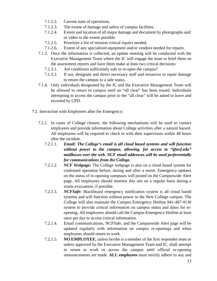- 7.1.2.2. Current state of operations.
- 7.1.2.3. The extent of damage and safety of campus facilities.
- 7.1.2.4. Extent and location of all major damage and document by photographs and/ or video to the extent possible.
- 7.1.2.5. Prioritize a list of mission critical repairs needed.
- 7.1.2.6. Extent of any specialized equipment and/or vendors needed for repairs.
- 7.1.3. Once the information is collected, an update meeting will be conducted with the Executive Management Team where the IC will engage the team to brief them on the assessment reports and have them make at least two critical decisions:
	- 7.1.3.1. Are conditions sufficiently safe to re-open the campus?
	- 7.1.3.2. If not, designate and direct necessary staff and resources to repair damage to return the campus to a safe status.
- 7.1.4. Only individuals designated by the IC and the Executive Management Team will be allowed to return to campus until an "all clear" has been issued. Individuals attempting to access the campus prior to the "all clear" will be asked to leave and escorted by CPD.
- 7.2. Interaction with Employees after the Emergency:
	- 7.2.1. In cases of College closure, the following mechanisms will be used to contact employees and provide information about College activities after a natural hazard. All employees will be required to check in with their supervisors within 48 hours after the incident.
		- 7.2.1.1. *Email: The College's email is all cloud based systems and will function without power to the campus, allowing, for access to "@ncf.edu" mailboxes over the web. NCF email addresses will be used preferentially for communications from the College.*
		- 7.2.1.2. *NCF Webpage:* The College webpage is also on a cloud based system for continued operation before, during and after a storm. Emergency updates on the status of re‐opening campuses will posted on the Campuswide Alert page. All employees should monitor this site on a regular basis during a storm evacuation, if possible.
		- 7.2.1.3. *NCFSafe:* Blackboard emergency notification system is all cloud based systems and will function without power to the New College campus. The College will also maintain the Campus Emergency Hotline 941-487-4130 system to provide critical information on campus status and dates for reopening. All employees should call the Campus Emergency Hotline at least once per day to access critical information.
		- 7.2.1.4. Email communications, NCFSafe, and the Campuswide Alert page will be updated regularly with information on campus re‐openings and when employees should return to work.
		- 7.2.1.5. **NO EMPLOYEE**, unless he/she is a member of the first responder team or unless approved by the Executive Management Team and IC, shall attempt to return to work or access the campus until official re-opening announcements are made. **ALL employees** must strictly adhere to any and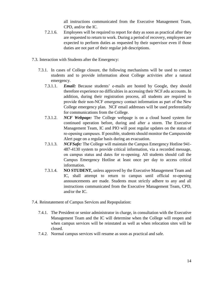all instructions communicated from the Executive Management Team, CPD, and/or the IC.

- 7.2.1.6. Employees will be required to report for duty as soon as practical after they are requested to return to work. During a period of recovery, employees are expected to perform duties as requested by their supervisor even if those duties are not part of their regular job descriptions.
- 7.3. Interaction with Students after the Emergency:
	- 7.3.1. In cases of College closure, the following mechanisms will be used to contact students and to provide information about College activities after a natural emergency.
		- 7.3.1.1. *Email:* Because students' e-mails are hosted by Google, they should therefore experience no difficulties in accessing their NCF.edu accounts. In addition, during their registration process, all students are required to provide their non‐NCF emergency contact information as part of the New College emergency plan. NCF email addresses will be used preferentially for communications from the College.
		- 7.3.1.2. *NCF Webpage:* The College webpage is on a cloud based system for continued operation before, during and after a storm. The Executive Management Team, IC and PIO will post regular updates on the status of re‐opening campuses. If possible, students should monitor the Campuswide Alert page on a regular basis during an evacuation.
		- 7.3.1.3. *NCFSafe:* The College will maintain the Campus Emergency Hotline 941- 487-4130 system to provide critical information, via a recorded message, on campus status and dates for re‐opening. All students should call the Campus Emergency Hotline at least once per day to access critical information.
		- 7.3.1.4. **NO STUDENT,** unless approved by the Executive Management Team and IC, shall attempt to return to campus until official re-opening announcements are made. Students must strictly adhere to any and all instructions communicated from the Executive Management Team, CPD, and/or the IC.
- 7.4. Reinstatement of Campus Services and Repopulation:
	- 7.4.1. The President or senior administrator in charge, in consultation with the Executive Management Team and the IC will determine when the College will reopen and when campus services will be reinstated as well as when relocation sites will be closed.
	- 7.4.2. Normal campus services will resume as soon as practical and safe.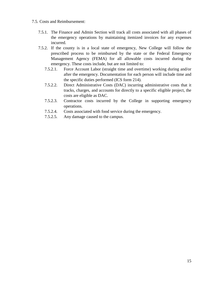- 7.5. Costs and Reimbursement:
	- 7.5.1. The Finance and Admin Section will track all costs associated with all phases of the emergency operations by maintaining itemized invoices for any expenses incurred.
	- 7.5.2. If the county is in a local state of emergency, New College will follow the prescribed process to be reimbursed by the state or the Federal Emergency Management Agency (FEMA) for all allowable costs incurred during the emergency. These costs include, but are not limited to:
		- 7.5.2.1. Force Account Labor (straight time and overtime) working during and/or after the emergency. Documentation for each person will include time and the specific duties performed (ICS form 214).
		- 7.5.2.2. Direct Administrative Costs (DAC) incurring administrative costs that it tracks, charges, and accounts for directly to a specific eligible project, the costs are eligible as DAC.
		- 7.5.2.3. Contractor costs incurred by the College in supporting emergency operations.
		- 7.5.2.4. Costs associated with food service during the emergency.
		- 7.5.2.5. Any damage caused to the campus.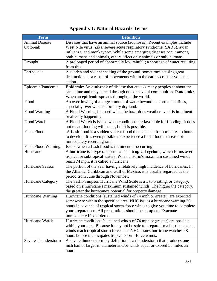## **Appendix 1: Natural Hazards Terms**

| Term                       | <b>Definition</b>                                                                  |  |  |
|----------------------------|------------------------------------------------------------------------------------|--|--|
| <b>Animal Disease</b>      | Diseases that have an animal source (zoonoses). Recent examples include            |  |  |
| Outbreak                   | West Nile virus, Zika, severe acute respiratory syndrome (SARS), avian             |  |  |
|                            | influenza, and monkeypox. While some emerging diseases occur among                 |  |  |
|                            | both humans and animals, others affect only animals or only humans.                |  |  |
| Drought                    | A prolonged period of abnormally low rainfall; a shortage of water resulting       |  |  |
|                            | from this.                                                                         |  |  |
| Earthquake                 | A sudden and violent shaking of the ground, sometimes causing great                |  |  |
|                            | destruction, as a result of movements within the earth's crust or volcanic         |  |  |
|                            | action.                                                                            |  |  |
| Epidemic/Pandemic          | Epidemic: An outbreak of disease that attacks many peoples at about the            |  |  |
|                            | same time and may spread through one or several communities. Pandemic:             |  |  |
|                            | When an epidemic spreads throughout the world.                                     |  |  |
| Flood                      | An overflowing of a large amount of water beyond its normal confines,              |  |  |
|                            | especially over what is normally dry land.                                         |  |  |
| Flood Warning              | A Flood Warning is issued when the hazardous weather event is imminent             |  |  |
|                            | or already happening.                                                              |  |  |
| Flood Watch                | A Flood Watch is issued when conditions are favorable for flooding. It does        |  |  |
|                            | not mean flooding will occur, but it is possible.                                  |  |  |
| <b>Flash Flood</b>         | A flash flood is a sudden violent flood that can take from minutes to hours        |  |  |
|                            | to develop. It is even possible to experience a flash flood in areas not           |  |  |
|                            | immediately receiving rain.                                                        |  |  |
| Flash Flood Warning        | Issued when a flash flood is imminent or occurring.                                |  |  |
| Hurricane                  | A hurricane is a type of storm called a <b>tropical cyclone</b> , which forms over |  |  |
|                            | tropical or subtropical waters. When a storm's maximum sustained winds             |  |  |
|                            | reach 74 mph, it is called a hurricane.                                            |  |  |
| Hurricane Season           | The portion of the year having a relatively high incidence of hurricanes. In       |  |  |
|                            | the Atlantic, Caribbean and Gulf of Mexico, it is usually regarded as the          |  |  |
|                            | period from June through November.                                                 |  |  |
| Hurricane Category         | The Saffir-Simpson Hurricane Wind Scale is a 1 to 5 rating, or category,           |  |  |
|                            | based on a hurricane's maximum sustained winds. The higher the category,           |  |  |
|                            | the greater the hurricane's potential for property damage.                         |  |  |
| Hurricane Warning          | Hurricane conditions (sustained winds of 74 mph or greater) are expected           |  |  |
|                            | somewhere within the specified area. NHC issues a hurricane warning 36             |  |  |
|                            | hours in advance of tropical storm-force winds to give you time to complete        |  |  |
|                            | your preparations. All preparations should be complete. Evacuate                   |  |  |
|                            | immediately if so ordered.                                                         |  |  |
| Hurricane Watch            | Hurricane conditions (sustained winds of 74 mph or greater) are possible           |  |  |
|                            | within your area. Because it may not be safe to prepare for a hurricane once       |  |  |
|                            | winds reach tropical storm force, The NHC issues hurricane watches 48              |  |  |
|                            | hours before it anticipates tropical storm-force winds.                            |  |  |
| <b>Severe Thunderstorm</b> | A severe thunderstorm by definition is a thunderstorm that produces one            |  |  |
|                            | inch hail or larger in diameter and/or winds equal or exceed 58 miles an           |  |  |
|                            | hour.                                                                              |  |  |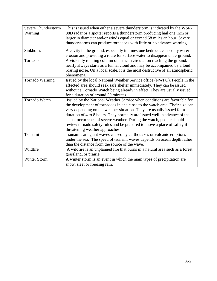| Severe Thunderstorm  | This is issued when either a severe thunderstorm is indicated by the WSR-      |  |  |
|----------------------|--------------------------------------------------------------------------------|--|--|
| Warning              | 88D radar or a spotter reports a thunderstorm producing hail one inch or       |  |  |
|                      | larger in diameter and/or winds equal or exceed 58 miles an hour. Severe       |  |  |
|                      | thunderstorms can produce tornadoes with little or no advance warning.         |  |  |
| Sinkholes            | A cavity in the ground, especially in limestone bedrock, caused by water       |  |  |
|                      | erosion and providing a route for surface water to disappear underground.      |  |  |
| Tornado              | A violently rotating column of air with circulation reaching the ground. It    |  |  |
|                      | nearly always starts as a funnel cloud and may be accompanied by a loud        |  |  |
|                      | roaring noise. On a local scale, it is the most destructive of all atmospheric |  |  |
|                      | phenomena.                                                                     |  |  |
| Tornado Warning      | Issued by the local National Weather Service office (NWFO). People in the      |  |  |
|                      | affected area should seek safe shelter immediately. They can be issued         |  |  |
|                      | without a Tornado Watch being already in effect. They are usually issued       |  |  |
|                      | for a duration of around 30 minutes.                                           |  |  |
| <b>Tornado Watch</b> | Issued by the National Weather Service when conditions are favorable for       |  |  |
|                      | the development of tornadoes in and close to the watch area. Their size can    |  |  |
|                      | vary depending on the weather situation. They are usually issued for a         |  |  |
|                      | duration of 4 to 8 hours. They normally are issued well in advance of the      |  |  |
|                      | actual occurrence of severe weather. During the watch, people should           |  |  |
|                      | review tornado safety rules and be prepared to move a place of safety if       |  |  |
|                      | threatening weather approaches.                                                |  |  |
| Tsunami              | Tsunamis are giant waves caused by earthquakes or volcanic eruptions           |  |  |
|                      | under the sea. The speed of tsunami waves depends on ocean depth rather        |  |  |
|                      | than the distance from the source of the wave.                                 |  |  |
| Wildfire             | A wildfire is an unplanned fire that burns in a natural area such as a forest, |  |  |
|                      | grassland, or prairie.                                                         |  |  |
| <b>Winter Storm</b>  | A winter storm is an event in which the main types of precipitation are        |  |  |
|                      | snow, sleet or freezing rain.                                                  |  |  |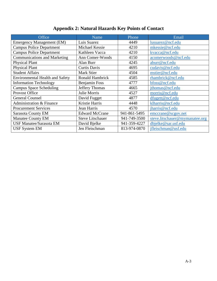| Office                                 | <b>Name</b>             | Phone        | Email                          |
|----------------------------------------|-------------------------|--------------|--------------------------------|
| <b>Emergency Management (EM)</b>       | Luis Suarez             | 4449         | lusuarez@ncf.edu               |
| <b>Campus Police Department</b>        | Michael Kessie          | 4210         | mkessie@ncf.edu                |
| <b>Campus Police Department</b>        | Kathleen Vacca          | 4210         | kvacca@ncf.edu                 |
| <b>Communications and Marketing</b>    | Ann Comer-Woods         | 4150         | acomerwoods@ncf.edu            |
| <b>Physical Plant</b>                  | Alan Burr               | 4245         | aburr@ncf.edu                  |
| <b>Physical Plant</b>                  | <b>Curtis Davis</b>     | 4695         | cudavis@ncf.edu                |
| <b>Student Affairs</b>                 | <b>Mark Stier</b>       | 4504         | mstier@ncf.edu                 |
| <b>Environmental Health and Safety</b> | Ronald Hambrick         | 4585         | rhambrick@ncf.edu              |
| <b>Information Technology</b>          | <b>Benjamin Foss</b>    | 4777         | bfoss@ncf.edu                  |
| <b>Campus Space Scheduling</b>         | Jeffery Thomas          | 4665         | jthomas@ncf.edu                |
| Provost Office                         | Julie Morris            | 4527         | morris@ncf.edu                 |
| <b>General Counsel</b>                 | David Fugget            | 4877         | dfugett@ncf.edu                |
| Administration & Finance               | Kristie Harris          | 4448         | klharris@ncf.edu               |
| <b>Procurement Services</b>            | Jean Harris             | 4570         | jharris@ncf.edu                |
| <b>Sarasota County EM</b>              | <b>Edward McCrane</b>   | 941-861-5495 | emccrane@scgov.net             |
| <b>Manatee County EM</b>               | <b>Steve Litschauer</b> | 941-749-3500 | steve.litschauer@mymanatee.org |
| <b>USF Manatee/Sarasota EM</b>         | David Bjelke            | 941-359-4227 | dbjelke@sar.usf.edu            |
| <b>USF System EM</b>                   | Jen Fleischman          | 813-974-0870 | jfleischman@usf.edu            |

## **Appendix 2: Natural Hazards Key Points of Contact**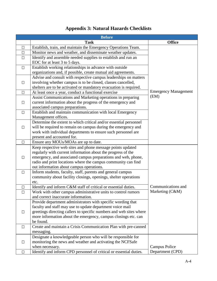## **Appendix 3: Natural Hazards Checklists**

|        | <b>Before</b>                                                       |                             |
|--------|---------------------------------------------------------------------|-----------------------------|
|        | <b>Task</b>                                                         | <b>Office</b>               |
| $\Box$ | Establish, train, and maintain the Emergency Operations Team.       |                             |
| $\Box$ | Monitor news and weather, and disseminate weather updates.          |                             |
| $\Box$ | Identify and assemble needed supplies to establish and run an       |                             |
|        | EOC for at least 3 to 5 days.                                       |                             |
| $\Box$ | Establish working relationships in advance with outside             |                             |
|        | organizations and, if possible, create mutual aid agreements.       |                             |
|        | Advise and consult with respective campus leaderships on matters    |                             |
| $\Box$ | involving whether campus is to be closed, classes cancelled,        |                             |
|        | shelters are to be activated or mandatory evacuation is required.   |                             |
| $\Box$ | At least once a year, conduct a functional exercise                 | <b>Emergency Management</b> |
|        | Assist Communications and Marketing operations in preparing         | (EM)                        |
| $\Box$ | current information about the progress of the emergency and         |                             |
|        | associated campus preparations.                                     |                             |
| $\Box$ | Establish and maintain communication with local Emergency           |                             |
|        | Management offices.                                                 |                             |
|        | Determine the extent to which critical and/or essential personnel   |                             |
| $\Box$ | will be required to remain on campus during the emergency and       |                             |
|        | work with individual departments to ensure such personnel are       |                             |
|        | present and accounted for.                                          |                             |
| $\Box$ | Ensure any MOUs/MOAs are up to date.                                |                             |
|        | Keep respective web sites and phone message points updated          |                             |
|        | regularly with current information about the progress of the        |                             |
| $\Box$ | emergency, and associated campus preparations and web, phone,       |                             |
|        | radio and print locations where the campus community can find       |                             |
|        | out information about campus operations.                            |                             |
| $\Box$ | Inform students, faculty, staff, parents and general campus         |                             |
|        | community about facility closings, openings, shelter operations     |                             |
|        | etc.                                                                |                             |
| ⊔      | Identify and inform C&M staff of critical or essential duties.      | Communications and          |
| $\Box$ | Work with other campus administrative units to control rumors       | Marketing (C&M)             |
|        | and correct inaccurate information.                                 |                             |
|        | Provide department administrators with specific wording that        |                             |
|        | faculty and staff may use to update department voice mail           |                             |
| $\Box$ | greetings directing callers to specific numbers and web sites where |                             |
|        | more information about the emergency, campus closings etc. can      |                             |
|        | be found.                                                           |                             |
| $\Box$ | Create and maintain a Crisis Communication Plan with pre-canned     |                             |
|        | messaging.                                                          |                             |
|        | Designate a knowledgeable person who will be responsible for        |                             |
| $\Box$ | monitoring the news and weather and activating the NCFSafe          |                             |
|        | when necessary.                                                     | Campus Police               |
| $\Box$ | Identify and inform CPD personnel of critical or essential duties.  | Department (CPD)            |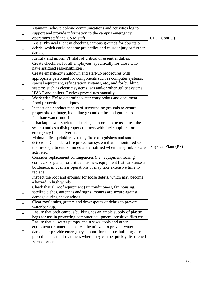|        | Maintain radio/telephone communications and activities log to                   |                     |
|--------|---------------------------------------------------------------------------------|---------------------|
| $\Box$ | support and provide information to the campus emergency                         |                     |
|        | operations staff and C&M staff.                                                 | $CPD$ (Cont)        |
|        | Assist Physical Plant in checking campus grounds for objects or                 |                     |
| $\Box$ | debris, which could become projectiles and cause injury or further              |                     |
|        | damage.                                                                         |                     |
| $\Box$ | Identify and inform PP staff of critical or essential duties.                   |                     |
| $\Box$ | Create checklists for all employees, specifically for those who                 |                     |
|        | have assigned responsibilities.                                                 |                     |
|        | Create emergency shutdown and start-up procedures with                          |                     |
|        | appropriate personnel for components such as computer systems,                  |                     |
| $\Box$ | special equipment, refrigeration systems, etc., and for building                |                     |
|        | systems such as electric systems, gas and/or other utility systems,             |                     |
|        | HVAC and boilers. Review procedures annually.                                   |                     |
| $\Box$ | Work with EM to determine water entry points and document                       |                     |
|        | flood protection techniques.                                                    |                     |
| $\Box$ | Inspect and conduct repairs of surrounding grounds to ensure                    |                     |
|        | proper site drainage, including ground drains and gutters to                    |                     |
|        | facilitate water runoff.                                                        |                     |
| $\Box$ | If backup power such as a diesel generator is to be used, test the              |                     |
|        | system and establish proper contracts with fuel suppliers for                   |                     |
|        | emergency fuel deliveries.                                                      |                     |
|        | Maintain fire sprinkler systems, fire extinguishers and smoke                   |                     |
| $\Box$ | detectors. Consider a fire protection system that is monitored so               |                     |
|        | the fire department is immediately notified when the sprinklers are             | Physical Plant (PP) |
|        | activated.                                                                      |                     |
|        | Consider replacement contingencies (i.e., equipment leasing                     |                     |
| $\Box$ | contracts or plans) for critical business equipment that can cause a            |                     |
|        | bottleneck in business operations or may take extensive time to                 |                     |
|        | replace.                                                                        |                     |
| $\Box$ | Inspect the roof and grounds for loose debris, which may become                 |                     |
|        | a hazard in high winds.                                                         |                     |
|        | Check that all roof equipment (air conditioners, fan housing,                   |                     |
| $\Box$ | satellite dishes, antennas and signs) mounts are secure against                 |                     |
|        | damage during heavy winds.                                                      |                     |
| $\Box$ | Clear roof drains, gutters and downspouts of debris to prevent<br>water backup. |                     |
| $\Box$ | Ensure that each campus building has an ample supply of plastic                 |                     |
|        | bags for use in protecting computer equipment, sensitive files etc.             |                     |
|        | Ensure that all water pumps, chain saws, tools and other                        |                     |
|        | equipment or materials that can be utilized to prevent water                    |                     |
| $\Box$ | damage or provide emergency support for campus buildings are                    |                     |
|        | placed in a state of readiness where they can be quickly dispatched             |                     |
|        | where needed.                                                                   |                     |
|        |                                                                                 |                     |
|        |                                                                                 |                     |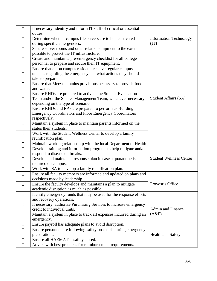| $\Box$ | If necessary, identify and inform IT staff of critical or essential                         |                                       |
|--------|---------------------------------------------------------------------------------------------|---------------------------------------|
|        | duties.                                                                                     |                                       |
| $\Box$ | Determine whether campus file servers are to be deactivated<br>during specific emergencies. | <b>Information Technology</b><br>(IT) |
| $\Box$ | Secure server rooms and other related equipment to the extent                               |                                       |
|        | possible to protect the IT infrastructure.                                                  |                                       |
| $\Box$ | Create and maintain a pre-emergency checklist for all college                               |                                       |
|        | personnel to prepare and secure their IT equipment.                                         |                                       |
|        | Ensure that all on campus residents receive regular campus                                  |                                       |
|        | updates regarding the emergency and what actions they should                                |                                       |
| П      |                                                                                             |                                       |
|        | take to prepare.<br>Ensure that Metz maintains provisions necessary to provide food         |                                       |
| $\Box$ | and water.                                                                                  |                                       |
|        | Ensure RHDs are prepared to activate the Student Evacuation                                 |                                       |
| $\Box$ | Team and/or the Shelter Management Team, whichever necessary                                | <b>Student Affairs (SA)</b>           |
|        | depending on the type of scenario.                                                          |                                       |
|        | Ensure RHDs and RAs are prepared to perform as Building                                     |                                       |
| $\Box$ | <b>Emergency Coordinators and Floor Emergency Coordinators</b>                              |                                       |
|        | respectively.                                                                               |                                       |
| $\Box$ | Maintain a system in place to maintain parents informed on the                              |                                       |
|        | status their students.                                                                      |                                       |
| $\Box$ | Work with the Student Wellness Center to develop a family                                   |                                       |
|        | reunification plan.                                                                         |                                       |
| □      | Maintain working relationship with the local Department of Health                           |                                       |
| $\Box$ | Develop training and information programs to help mitigate and/or                           |                                       |
|        | respond to disease outbreaks.                                                               |                                       |
| $\Box$ | Develop and maintain a response plan in case a quarantine is                                | <b>Student Wellness Center</b>        |
|        | required on campus.                                                                         |                                       |
| □      | Work with SA to develop a family reunification plan.                                        |                                       |
| □      | Ensure all faculty members are informed and updated on plans and                            |                                       |
|        | decisions made by leadership.                                                               |                                       |
| $\Box$ | Ensure the faculty develops and maintains a plan to mitigate                                | Provost's Office                      |
|        | academic disruption as much as possible.                                                    |                                       |
| $\Box$ | Identify emergency funds that may be used for the response efforts                          |                                       |
|        | and recovery operations.                                                                    |                                       |
| $\Box$ | If necessary, authorize Purchasing Services to increase emergency                           |                                       |
|        | credit to individual units.                                                                 | <b>Admin and Finance</b>              |
| $\Box$ | Maintain a system in place to track all expenses incurred during an                         | (A&F)                                 |
|        | emergency.                                                                                  |                                       |
| $\Box$ | Ensure payroll has adequate plans to avoid disruption.                                      |                                       |
| $\Box$ | Ensure personnel are following safety protocols during emergency                            |                                       |
|        | preparations.                                                                               | Health and Safety                     |
| $\Box$ | Ensure all HAZMAT is safely stored.                                                         |                                       |
| $\Box$ | Advice with best practices for reimbursement requirements.                                  |                                       |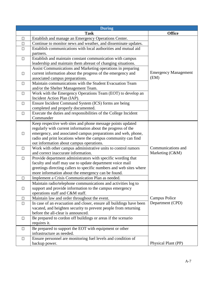|        | <b>During</b>                                                       |                             |
|--------|---------------------------------------------------------------------|-----------------------------|
|        | <b>Task</b>                                                         | <b>Office</b>               |
| $\Box$ | Establish and manage an Emergency Operations Center.                |                             |
| Π      | Continue to monitor news and weather, and disseminate updates.      |                             |
| П      | Establish communications with local authorities and mutual aid      |                             |
|        | partners.                                                           |                             |
| □      | Establish and maintain constant communication with campus           |                             |
|        | leadership and maintain them abreast of changing situations.        |                             |
|        | Assist Communications and Marketing operations in preparing         |                             |
| $\Box$ | current information about the progress of the emergency and         | <b>Emergency Management</b> |
|        | associated campus preparations.                                     | (EM)                        |
| $\Box$ | Maintain communications with the Student Evacuation Team            |                             |
|        | and/or the Shelter Management Team.                                 |                             |
| $\Box$ | Work with the Emergency Operations Team (EOT) to develop an         |                             |
|        | Incident Action Plan (IAP).                                         |                             |
| $\Box$ | Ensure Incident Command System (ICS) forms are being                |                             |
|        | completed and properly documented.                                  |                             |
| $\Box$ | Execute the duties and responsibilities of the College Incident     |                             |
|        | Commander                                                           |                             |
|        | Keep respective web sites and phone message points updated          |                             |
|        | regularly with current information about the progress of the        |                             |
| □      | emergency, and associated campus preparations and web, phone,       |                             |
|        | radio and print locations where the campus community can find       |                             |
|        | out information about campus operations.                            |                             |
| $\Box$ | Work with other campus administrative units to control rumors       | Communications and          |
|        | and correct inaccurate information.                                 | Marketing (C&M)             |
| $\Box$ | Provide department administrators with specific wording that        |                             |
|        | faculty and staff may use to update department voice mail           |                             |
|        | greetings directing callers to specific numbers and web sites where |                             |
|        | more information about the emergency can be found.                  |                             |
| $\Box$ | Implement a Crisis Communication Plan as needed.                    |                             |
|        | Maintain radio/telephone communications and activities log to       |                             |
| $\Box$ | support and provide information to the campus emergency             |                             |
|        | operations staff and C&M staff.                                     |                             |
| $\Box$ | Maintain law and order throughout the event.                        | <b>Campus Police</b>        |
| □      | In case of an evacuation and closer, ensure all buildings have been | Department (CPD)            |
|        | vacated, and heighten security to prevent people from returning     |                             |
|        | before the all-clear is announced.                                  |                             |
| $\Box$ | Be prepared to cordon off buildings or areas if the scenario        |                             |
|        | requires it.                                                        |                             |
| $\Box$ | Be prepared to support the EOT with equipment or other              |                             |
|        | infrastructure as needed.                                           |                             |
| $\Box$ | Ensure personnel are monitoring fuel levels and condition of        |                             |
|        | backup power.                                                       | Physical Plant (PP)         |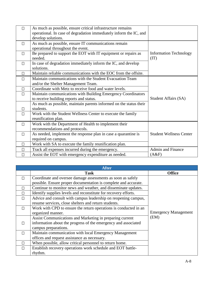|              | As much as possible, ensure critical infrastructure remains<br>operational. In case of degradation immediately inform the IC, and<br>develop solutions. |                                       |
|--------------|---------------------------------------------------------------------------------------------------------------------------------------------------------|---------------------------------------|
| $\Box$       | As much as possible, ensure IT communications remain<br>operational throughout the event.                                                               |                                       |
| Л            | Be prepared to support the EOT with IT equipment or repairs as<br>needed.                                                                               | <b>Information Technology</b><br>(TT) |
| $\Box$       | In case of degradation immediately inform the IC, and develop<br>solutions.                                                                             |                                       |
| $\Box$       | Maintain reliable communications with the EOC from the offsite.                                                                                         |                                       |
| $\Box$       | Maintain communications with the Student Evacuation Team                                                                                                |                                       |
|              | and/or the Shelter Management Team.                                                                                                                     |                                       |
| $\Box$       | Coordinate with Metz to receive food and water levels.                                                                                                  |                                       |
| $\Box$       | Maintain communications with Building Emergency Coordinators                                                                                            |                                       |
|              | to receive building reports and status.                                                                                                                 | Student Affairs (SA)                  |
|              | As much as possible, maintain parents informed on the status their                                                                                      |                                       |
| $\mathsf{L}$ | students.                                                                                                                                               |                                       |
| $\Box$       | Work with the Student Wellness Center to execute the family                                                                                             |                                       |
|              | reunification plan.                                                                                                                                     |                                       |
| П            | Work with the Department of Health to implement their                                                                                                   |                                       |
|              | recommendations and protocols.                                                                                                                          |                                       |
| $\Box$       | As needed, implement the response plan in case a quarantine is                                                                                          | <b>Student Wellness Center</b>        |
|              | required on campus.                                                                                                                                     |                                       |
| $\Box$       | Work with SA to execute the family reunification plan.                                                                                                  |                                       |
| П            | Track all expenses incurred during the emergency.                                                                                                       | <b>Admin and Finance</b>              |
| П            | Assist the EOT with emergency expenditure as needed.                                                                                                    | (A&F)                                 |

| <b>After</b> |                                                                  |                             |  |  |
|--------------|------------------------------------------------------------------|-----------------------------|--|--|
|              | Task                                                             | <b>Office</b>               |  |  |
| П            | Coordinate and oversee damage assessments as soon as safely      |                             |  |  |
|              | possible. Ensure proper documentation is complete and accurate.  |                             |  |  |
| П            | Continue to monitor news and weather, and disseminate updates.   |                             |  |  |
| $\Box$       | Identify supplies levels and reconstitute for recovery efforts.  |                             |  |  |
| $\Box$       | Advice and consult with campus leadership on reopening campus,   |                             |  |  |
|              | resume services, close shelters and return students.             |                             |  |  |
| $\Box$       | Work with CPD to ensure the return operations is conducted in an |                             |  |  |
|              | organized manner.                                                | <b>Emergency Management</b> |  |  |
|              | Assist Communications and Marketing in preparing current         | (EM)                        |  |  |
| П            | information about the progress of the emergency and associated   |                             |  |  |
|              | campus preparations.                                             |                             |  |  |
| П            | Maintain communication with local Emergency Management           |                             |  |  |
|              | offices and request assistance as necessary.                     |                             |  |  |
| П            | When possible, allow critical personnel to return home.          |                             |  |  |
| П            | Establish recovery operations work schedule and EOT battle-      |                             |  |  |
|              | rhythm.                                                          |                             |  |  |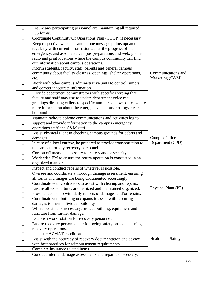| $\Box$ | Ensure any participating personnel are maintaining all required<br>ICS forms.                                                                                                                                                                                                   |                                       |
|--------|---------------------------------------------------------------------------------------------------------------------------------------------------------------------------------------------------------------------------------------------------------------------------------|---------------------------------------|
| $\Box$ | Coordinate Continuity Of Operations Plan (COOP) if necessary.                                                                                                                                                                                                                   |                                       |
| $\Box$ | Keep respective web sites and phone message points updated<br>regularly with current information about the progress of the<br>emergency, and associated campus preparations and web, phone,<br>radio and print locations where the campus community can find                    |                                       |
| $\Box$ | out information about campus operations.<br>Inform students, faculty, staff, parents and general campus<br>community about facility closings, openings, shelter operations,<br>etc.                                                                                             | Communications and<br>Marketing (C&M) |
| $\Box$ | Work with other campus administrative units to control rumors<br>and correct inaccurate information.                                                                                                                                                                            |                                       |
| $\Box$ | Provide department administrators with specific wording that<br>faculty and staff may use to update department voice mail<br>greetings directing callers to specific numbers and web sites where<br>more information about the emergency, campus closings etc. can<br>be found. |                                       |
| $\Box$ | Maintain radio/telephone communications and activities log to<br>support and provide information to the campus emergency<br>operations staff and C&M staff.                                                                                                                     |                                       |
| $\Box$ | Assist Physical Plant in checking campus grounds for debris and<br>damages.                                                                                                                                                                                                     | Campus Police<br>Department (CPD)     |
| $\Box$ | In case of a local curfew, be prepared to provide transportation to<br>the campus for key recovery personnel.                                                                                                                                                                   |                                       |
| $\Box$ | Cordon off areas as necessary for safety and/or security.                                                                                                                                                                                                                       |                                       |
| $\Box$ | Work with EM to ensure the return operation is conducted in an<br>organized manner.                                                                                                                                                                                             |                                       |
| $\Box$ | Inspect and conduct repairs of whatever is possible.                                                                                                                                                                                                                            |                                       |
| $\Box$ | Oversee and coordinate a thorough damage assessment, ensuring<br>all forms and images are being documented accordingly.                                                                                                                                                         |                                       |
| $\Box$ | Coordinate with contractors to assist with cleanup and repairs.                                                                                                                                                                                                                 |                                       |
| $\Box$ | Ensure all expenditures are itemized and maintained organized.                                                                                                                                                                                                                  | Physical Plant (PP)                   |
| $\Box$ | Provide leadership with daily reports of damages and/or repairs.                                                                                                                                                                                                                |                                       |
| $\Box$ | Coordinate with building occupants to assist with reporting<br>damages to their individual buildings.                                                                                                                                                                           |                                       |
| $\Box$ | Where possible or necessary, protect building, equipment and<br>furniture from further damage.                                                                                                                                                                                  |                                       |
| $\Box$ | Establish work rotation for recovery personnel.                                                                                                                                                                                                                                 |                                       |
| $\Box$ | Ensure recovery personnel are following safety protocols during<br>recovery operations.                                                                                                                                                                                         |                                       |
| $\Box$ | Inspect HAZMAT conditions.                                                                                                                                                                                                                                                      |                                       |
| $\Box$ | Assist with the accuracy of recovery documentation and advice                                                                                                                                                                                                                   | <b>Health and Safety</b>              |
|        | with best practices for reimbursement requirements.                                                                                                                                                                                                                             |                                       |
| $\Box$ | Complete insurance related items.                                                                                                                                                                                                                                               |                                       |
| $\Box$ | Conduct internal damage assessments and repair as necessary.                                                                                                                                                                                                                    |                                       |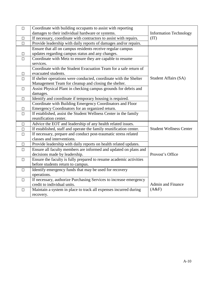| $\Box$ | Coordinate with building occupants to assist with reporting        |                                |
|--------|--------------------------------------------------------------------|--------------------------------|
|        | damages to their individual hardware or systems.                   | <b>Information Technology</b>  |
| П      | If necessary, coordinate with contractors to assist with repairs.  | (TT)                           |
| $\Box$ | Provide leadership with daily reports of damages and/or repairs.   |                                |
|        | Ensure that all on campus residents receive regular campus         |                                |
| $\Box$ | updates regarding campus status and any changes.                   |                                |
| $\Box$ | Coordinate with Metz to ensure they are capable to resume          |                                |
|        | services.                                                          |                                |
|        | Coordinate with the Student Evacuation Team for a safe return of   |                                |
| $\Box$ | evacuated students.                                                |                                |
| $\Box$ | If shelter operations were conducted, coordinate with the Shelter  | Student Affairs (SA)           |
|        | Management Team for cleanup and closing the shelter.               |                                |
| $\Box$ | Assist Physical Plant in checking campus grounds for debris and    |                                |
|        | damages.                                                           |                                |
| $\Box$ | Identify and coordinate if temporary housing is required.          |                                |
|        | Coordinate with Building Emergency Coordinators and Floor          |                                |
| $\Box$ | Emergency Coordinators for an organized return.                    |                                |
| $\Box$ | If established, assist the Student Wellness Center in the family   |                                |
|        | reunification center.                                              |                                |
| $\Box$ | Advice the EOT and leadership of any health related issues.        |                                |
| $\Box$ | If established, staff and operate the family reunification center. | <b>Student Wellness Center</b> |
| $\Box$ | If necessary, prepare and conduct post-traumatic stress related    |                                |
|        | classes and interventions.                                         |                                |
| $\Box$ | Provide leadership with daily reports on health related updates.   |                                |
| $\Box$ | Ensure all faculty members are informed and updated on plans and   |                                |
|        | decisions made by leadership.                                      | Provost's Office               |
| $\Box$ | Ensure the faculty is fully prepared to resume academic activities |                                |
|        | before students return to campus.                                  |                                |
| $\Box$ | Identify emergency funds that may be used for recovery             |                                |
|        | operations.                                                        |                                |
| $\Box$ | If necessary, authorize Purchasing Services to increase emergency  |                                |
|        | credit to individual units.                                        | <b>Admin and Finance</b>       |
| $\Box$ | Maintain a system in place to track all expenses incurred during   | (A&F)                          |
|        | recovery.                                                          |                                |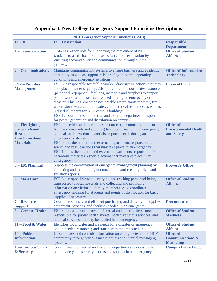## **Appendix 4: New College Emergency Support Functions Descriptions**

| <b>NCF Emergency Support Functions (ESFs)</b>                                             |                                                                                                                                                                                                                                                                                                                                                                                                                                                                                                                                                                                                                    |                                                                     |  |  |  |  |  |  |  |  |  |
|-------------------------------------------------------------------------------------------|--------------------------------------------------------------------------------------------------------------------------------------------------------------------------------------------------------------------------------------------------------------------------------------------------------------------------------------------------------------------------------------------------------------------------------------------------------------------------------------------------------------------------------------------------------------------------------------------------------------------|---------------------------------------------------------------------|--|--|--|--|--|--|--|--|--|
| ESF#                                                                                      | <b>ESF Description</b>                                                                                                                                                                                                                                                                                                                                                                                                                                                                                                                                                                                             | <b>Responsible</b><br><b>Department</b>                             |  |  |  |  |  |  |  |  |  |
| 1 - Transportation                                                                        | ESF-1 is responsible for supporting the movement of NCF<br>students to a safe location in case of a campus evacuation by<br>ensuring accountability and communication throughout the<br>process.                                                                                                                                                                                                                                                                                                                                                                                                                   | <b>Office of Student</b><br><b>Affairs</b>                          |  |  |  |  |  |  |  |  |  |
| 2 – Communications                                                                        | Maintains communication systems to ensure business and academic<br>continuity as well as support public safety in normal operating<br>conditions and emergency situations.                                                                                                                                                                                                                                                                                                                                                                                                                                         | <b>Office of Information</b><br><b>Technology</b>                   |  |  |  |  |  |  |  |  |  |
| 3/12 – Facilities<br><b>Management</b>                                                    | ESF-3 is responsible for public works infrastructure actions that may<br>take place in an emergency. Also provides and coordinates resources<br>(personnel, equipment, facilities, materials and supplies) to support<br>public works and infrastructure needs during an emergency or<br>disaster. This ESF encompasses potable water, sanitary sewer, fire<br>water, storm water, chilled water, and electrical resources, as well as<br>individual repairs for NCF campus buildings.<br>ESF-12 coordinates the internal and external departments responsible<br>for power generation and distribution on campus. | <b>Physical Plant</b>                                               |  |  |  |  |  |  |  |  |  |
| 4 – Firefighting<br>9 – Search and<br><b>Rescue</b><br>10 - Hazardous<br><b>Materials</b> | ESF-4 provides and coordinates resources (personnel, equipment,<br>facilities, materials and supplies) to support firefighting, emergency<br>medical, and hazardous materials response needs during an<br>emergency or disaster.<br>ESF-9 lists the internal and external departments responsible for<br>search and rescue actions that may take place in an emergency.<br>ESF-10 lists the internal and external departments responsible for<br>hazardous materials response actions that may take place in an<br>emergency.                                                                                      | <b>Office of</b><br><b>Environmental Health</b><br>and Safety       |  |  |  |  |  |  |  |  |  |
| <b>5 – EM Planning</b>                                                                    | Supports the coordination of emergency management planning by<br>collecting and maintaining documentation and creating briefs and<br>situation reports.                                                                                                                                                                                                                                                                                                                                                                                                                                                            | <b>Provost's Office</b>                                             |  |  |  |  |  |  |  |  |  |
| 6 – Mass Care                                                                             | ESF-6 is responsible for identifying and tracking personnel being<br>transported to local hospitals and collecting and providing<br>information on victims to family members. Also coordinates<br>emergency housing for students and points of distribution for basic<br>supplies if necessary.                                                                                                                                                                                                                                                                                                                    | <b>Office of Student</b><br><b>Affairs</b>                          |  |  |  |  |  |  |  |  |  |
| 7 - Resources<br><b>Support</b>                                                           | Coordinates timely and efficient purchasing and delivery of supplies,<br>equipment, services, and facilities needed in an emergency.                                                                                                                                                                                                                                                                                                                                                                                                                                                                               | <b>Procurement</b>                                                  |  |  |  |  |  |  |  |  |  |
| 8 - Campus Health                                                                         | ESF-8 lists and coordinates the internal and external departments<br>responsible for public health, mental health, religious services, and<br>medical services that may be needed in an emergency.                                                                                                                                                                                                                                                                                                                                                                                                                 | <b>Office of Student</b><br><b>Wellness</b>                         |  |  |  |  |  |  |  |  |  |
| $11 - Food & Water$                                                                       | Identifies food, water and ice needs for a disaster or emergency;<br>obtain needed resources; and transport to the impacted area.                                                                                                                                                                                                                                                                                                                                                                                                                                                                                  | <b>Office of Student</b><br><b>Affairs</b>                          |  |  |  |  |  |  |  |  |  |
| 14 – Public<br><b>Information</b>                                                         | Disseminates and controls information on emergencies to the NCF<br>community through various media outlets and internal messaging<br>systems.                                                                                                                                                                                                                                                                                                                                                                                                                                                                      | <b>Office of</b><br><b>Communications &amp;</b><br><b>Marketing</b> |  |  |  |  |  |  |  |  |  |
| 16 – Campus Safety<br>& Security                                                          | Coordinates the internal and external departments responsible for<br>public safety and security actions and support in an emergency.                                                                                                                                                                                                                                                                                                                                                                                                                                                                               | <b>Campus Police Dept.</b>                                          |  |  |  |  |  |  |  |  |  |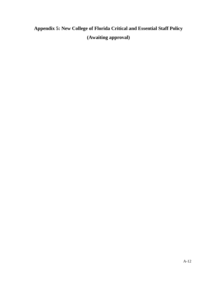## **Appendix 5: New College of Florida Critical and Essential Staff Policy (Awaiting approval)**